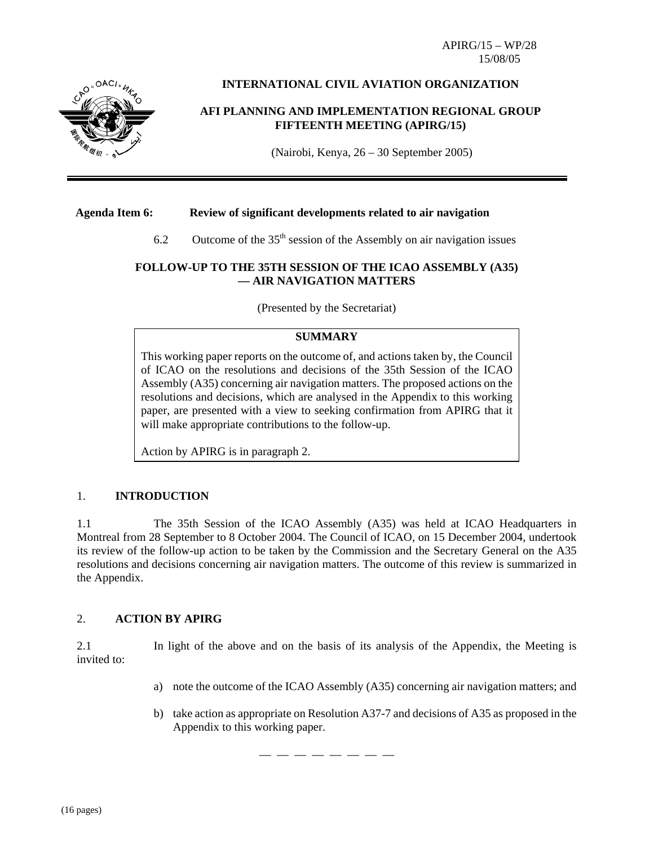APIRG/15 – WP/28 15/08/05



# **INTERNATIONAL CIVIL AVIATION ORGANIZATION**

## **AFI PLANNING AND IMPLEMENTATION REGIONAL GROUP FIFTEENTH MEETING (APIRG/15)**

(Nairobi, Kenya, 26 – 30 September 2005)

## **Agenda Item 6: Review of significant developments related to air navigation**

6.2 Outcome of the  $35<sup>th</sup>$  session of the Assembly on air navigation issues

## **FOLLOW-UP TO THE 35TH SESSION OF THE ICAO ASSEMBLY (A35) — AIR NAVIGATION MATTERS**

(Presented by the Secretariat)

# **SUMMARY**

This working paper reports on the outcome of, and actions taken by, the Council of ICAO on the resolutions and decisions of the 35th Session of the ICAO Assembly (A35) concerning air navigation matters. The proposed actions on the resolutions and decisions, which are analysed in the Appendix to this working paper, are presented with a view to seeking confirmation from APIRG that it will make appropriate contributions to the follow-up.

Action by APIRG is in paragraph 2.

## 1. **INTRODUCTION**

1.1 The 35th Session of the ICAO Assembly (A35) was held at ICAO Headquarters in Montreal from 28 September to 8 October 2004. The Council of ICAO, on 15 December 2004, undertook its review of the follow-up action to be taken by the Commission and the Secretary General on the A35 resolutions and decisions concerning air navigation matters. The outcome of this review is summarized in the Appendix.

## 2. **ACTION BY APIRG**

2.1 In light of the above and on the basis of its analysis of the Appendix, the Meeting is invited to:

- a) note the outcome of the ICAO Assembly (A35) concerning air navigation matters; and
- b) take action as appropriate on Resolution A37-7 and decisions of A35 as proposed in the Appendix to this working paper.

— — — — — — — —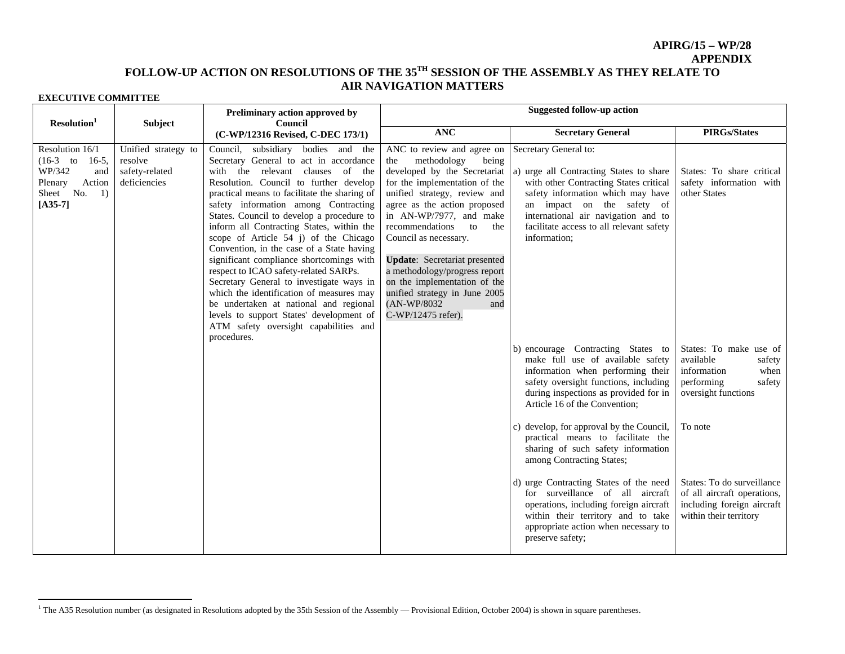## **APIRG/15 – WP/28 APPENDIX**

# **FOLLOW-UP ACTION ON RESOLUTIONS OF THE 35TH SESSION OF THE ASSEMBLY AS THEY RELATE TO AIR NAVIGATION MATTERS**

| Resolution <sup>1</sup>                                                                                   | <b>Subject</b>                                                   | Preliminary action approved by<br>Council                                                                                                                                                                                                                                                                                                                                                                                                                                                                                                                                                                                                                                                                                                                        | <b>Suggested follow-up action</b>                                                                                                                                                                                                                                                                                                                                                                                                                                    |                                                                                                                                                                                                                                                                                  |                                                                                                                     |  |
|-----------------------------------------------------------------------------------------------------------|------------------------------------------------------------------|------------------------------------------------------------------------------------------------------------------------------------------------------------------------------------------------------------------------------------------------------------------------------------------------------------------------------------------------------------------------------------------------------------------------------------------------------------------------------------------------------------------------------------------------------------------------------------------------------------------------------------------------------------------------------------------------------------------------------------------------------------------|----------------------------------------------------------------------------------------------------------------------------------------------------------------------------------------------------------------------------------------------------------------------------------------------------------------------------------------------------------------------------------------------------------------------------------------------------------------------|----------------------------------------------------------------------------------------------------------------------------------------------------------------------------------------------------------------------------------------------------------------------------------|---------------------------------------------------------------------------------------------------------------------|--|
|                                                                                                           |                                                                  | (C-WP/12316 Revised, C-DEC 173/1)                                                                                                                                                                                                                                                                                                                                                                                                                                                                                                                                                                                                                                                                                                                                | <b>ANC</b>                                                                                                                                                                                                                                                                                                                                                                                                                                                           | <b>Secretary General</b>                                                                                                                                                                                                                                                         | <b>PIRGs/States</b>                                                                                                 |  |
| Resolution 16/1<br>$(16-3$ to 16-5,<br>WP/342<br>and<br>Action<br>Plenary<br>Sheet No.<br>1)<br>$[A35-7]$ | Unified strategy to<br>resolve<br>safety-related<br>deficiencies | subsidiary bodies and the<br>Council.<br>Secretary General to act in accordance<br>with the relevant clauses of the<br>Resolution. Council to further develop<br>practical means to facilitate the sharing of<br>safety information among Contracting<br>States. Council to develop a procedure to<br>inform all Contracting States, within the<br>scope of Article 54 j) of the Chicago<br>Convention, in the case of a State having<br>significant compliance shortcomings with<br>respect to ICAO safety-related SARPs.<br>Secretary General to investigate ways in<br>which the identification of measures may<br>be undertaken at national and regional<br>levels to support States' development of<br>ATM safety oversight capabilities and<br>procedures. | ANC to review and agree on<br>methodology<br>being<br>the<br>developed by the Secretariat<br>for the implementation of the<br>unified strategy, review and<br>agree as the action proposed<br>in AN-WP/7977, and make<br>recommendations<br>to<br>the<br>Council as necessary.<br><b>Update:</b> Secretariat presented<br>a methodology/progress report<br>on the implementation of the<br>unified strategy in June 2005<br>(AN-WP/8032<br>and<br>C-WP/12475 refer). | Secretary General to:<br>a) urge all Contracting States to share<br>with other Contracting States critical<br>safety information which may have<br>an impact on the safety of<br>international air navigation and to<br>facilitate access to all relevant safety<br>information; | States: To share critical<br>safety information with<br>other States                                                |  |
|                                                                                                           |                                                                  |                                                                                                                                                                                                                                                                                                                                                                                                                                                                                                                                                                                                                                                                                                                                                                  |                                                                                                                                                                                                                                                                                                                                                                                                                                                                      | b) encourage Contracting States to<br>make full use of available safety<br>information when performing their<br>safety oversight functions, including<br>during inspections as provided for in<br>Article 16 of the Convention;                                                  | States: To make use of<br>available<br>safety<br>information<br>when<br>performing<br>safety<br>oversight functions |  |
|                                                                                                           |                                                                  |                                                                                                                                                                                                                                                                                                                                                                                                                                                                                                                                                                                                                                                                                                                                                                  |                                                                                                                                                                                                                                                                                                                                                                                                                                                                      | c) develop, for approval by the Council,<br>practical means to facilitate the<br>sharing of such safety information<br>among Contracting States;                                                                                                                                 | To note                                                                                                             |  |
|                                                                                                           |                                                                  |                                                                                                                                                                                                                                                                                                                                                                                                                                                                                                                                                                                                                                                                                                                                                                  |                                                                                                                                                                                                                                                                                                                                                                                                                                                                      | d) urge Contracting States of the need<br>for surveillance of all aircraft<br>operations, including foreign aircraft<br>within their territory and to take<br>appropriate action when necessary to<br>preserve safety;                                                           | States: To do surveillance<br>of all aircraft operations,<br>including foreign aircraft<br>within their territory   |  |

<sup>&</sup>lt;sup>1</sup> The A35 Resolution number (as designated in Resolutions adopted by the 35th Session of the Assembly — Provisional Edition, October 2004) is shown in square parentheses.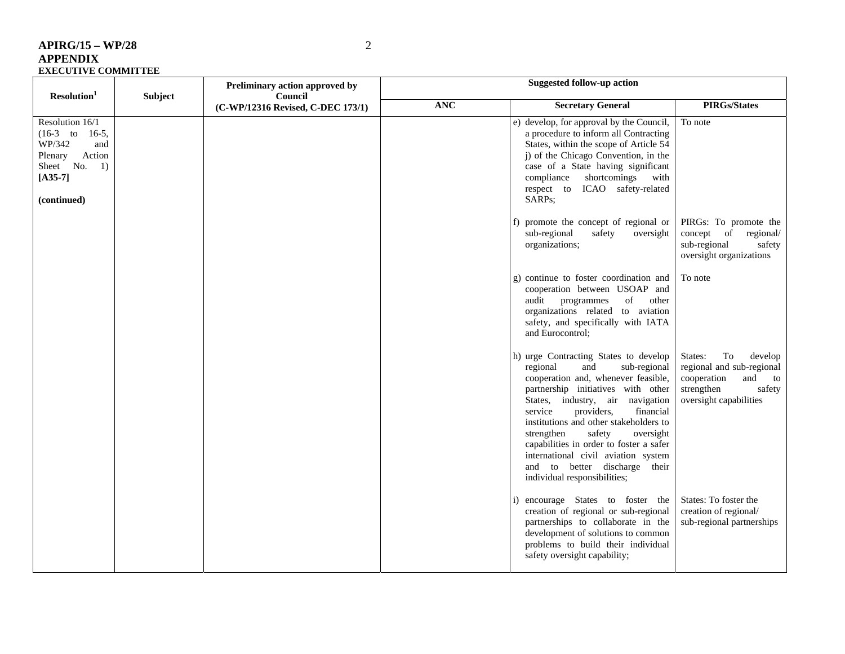| $APIRG/15 - WP/28$         |  |
|----------------------------|--|
| <b>APPENDIX</b>            |  |
| <b>EXECUTIVE COMMITTEE</b> |  |

| Resolution <sup>1</sup>                                                                                                        | Subject | Preliminary action approved by<br>Council<br>(C-WP/12316 Revised, C-DEC 173/1) | Suggested follow-up action |                                                                                                                                                                                                                                                                                                                                                                                                                                                                   |                                                                                                                                  |  |
|--------------------------------------------------------------------------------------------------------------------------------|---------|--------------------------------------------------------------------------------|----------------------------|-------------------------------------------------------------------------------------------------------------------------------------------------------------------------------------------------------------------------------------------------------------------------------------------------------------------------------------------------------------------------------------------------------------------------------------------------------------------|----------------------------------------------------------------------------------------------------------------------------------|--|
|                                                                                                                                |         |                                                                                | <b>ANC</b>                 | <b>Secretary General</b>                                                                                                                                                                                                                                                                                                                                                                                                                                          | <b>PIRGs/States</b>                                                                                                              |  |
| Resolution 16/1<br>$(16-3)$ to<br>$16-5,$<br>WP/342<br>and<br>Action<br>Plenary<br>Sheet No.<br>1)<br>$[A35-7]$<br>(continued) |         |                                                                                |                            | e) develop, for approval by the Council,<br>a procedure to inform all Contracting<br>States, within the scope of Article 54<br>j) of the Chicago Convention, in the<br>case of a State having significant<br>shortcomings<br>with<br>compliance<br>ICAO safety-related<br>respect to<br>SARPs;                                                                                                                                                                    | To note                                                                                                                          |  |
|                                                                                                                                |         |                                                                                |                            | promote the concept of regional or<br>sub-regional<br>safety<br>oversight<br>organizations;                                                                                                                                                                                                                                                                                                                                                                       | PIRGs: To promote the<br>concept of<br>regional/<br>sub-regional<br>safety<br>oversight organizations                            |  |
|                                                                                                                                |         |                                                                                |                            | g) continue to foster coordination and<br>cooperation between USOAP and<br>of<br>audit programmes<br>other<br>organizations related to aviation<br>safety, and specifically with IATA<br>and Eurocontrol;                                                                                                                                                                                                                                                         | To note                                                                                                                          |  |
|                                                                                                                                |         |                                                                                |                            | h) urge Contracting States to develop<br>sub-regional<br>regional<br>and<br>cooperation and, whenever feasible,<br>partnership initiatives with other<br>States, industry, air navigation<br>service<br>providers,<br>financial<br>institutions and other stakeholders to<br>safety<br>oversight<br>strengthen<br>capabilities in order to foster a safer<br>international civil aviation system<br>and to better discharge their<br>individual responsibilities; | States:<br>To<br>develop<br>regional and sub-regional<br>cooperation<br>and to<br>strengthen<br>safety<br>oversight capabilities |  |
|                                                                                                                                |         |                                                                                |                            | encourage States to foster the<br>creation of regional or sub-regional<br>partnerships to collaborate in the<br>development of solutions to common<br>problems to build their individual<br>safety oversight capability;                                                                                                                                                                                                                                          | States: To foster the<br>creation of regional/<br>sub-regional partnerships                                                      |  |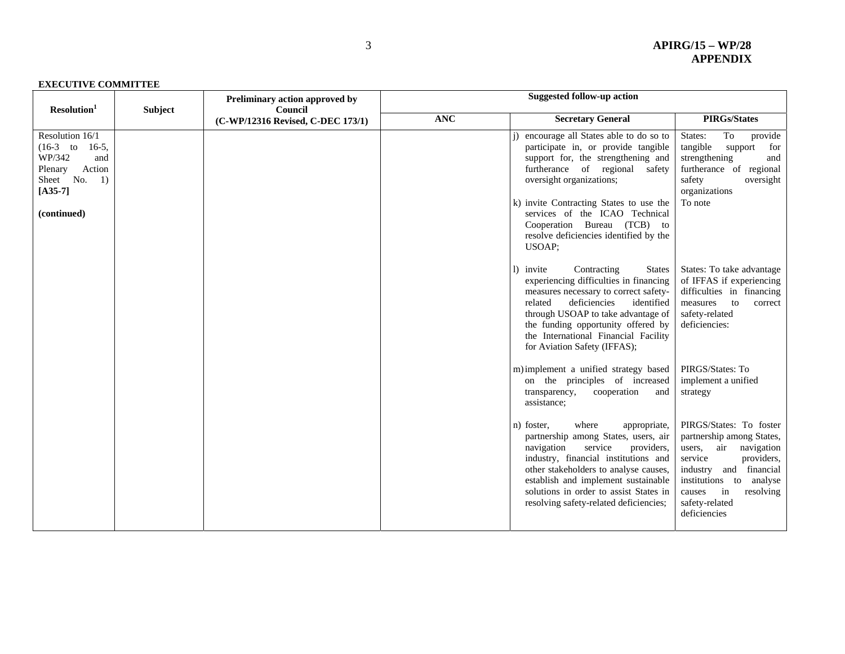| Resolution <sup>1</sup>                                                                                  | <b>Subject</b> | Preliminary action approved by<br>Council<br>(C-WP/12316 Revised, C-DEC 173/1) | <b>Suggested follow-up action</b> |                                                                                                                                                                                                                                                                                                                                |                                                                                                                                                                                                                                  |
|----------------------------------------------------------------------------------------------------------|----------------|--------------------------------------------------------------------------------|-----------------------------------|--------------------------------------------------------------------------------------------------------------------------------------------------------------------------------------------------------------------------------------------------------------------------------------------------------------------------------|----------------------------------------------------------------------------------------------------------------------------------------------------------------------------------------------------------------------------------|
|                                                                                                          |                |                                                                                | <b>ANC</b>                        | <b>Secretary General</b>                                                                                                                                                                                                                                                                                                       | <b>PIRGs/States</b>                                                                                                                                                                                                              |
| Resolution 16/1<br>$(16-3$ to 16-5,<br>WP/342<br>and<br>Action<br>Plenary<br>Sheet No.<br>1<br>$[A35-7]$ |                |                                                                                |                                   | encourage all States able to do so to<br>participate in, or provide tangible<br>support for, the strengthening and<br>furtherance of regional safety<br>oversight organizations;<br>k) invite Contracting States to use the                                                                                                    | To<br>provide<br>States:<br>tangible<br>for<br>support<br>and<br>strengthening<br>furtherance of regional<br>safety<br>oversight<br>organizations<br>To note                                                                     |
| (continued)                                                                                              |                |                                                                                |                                   | services of the ICAO Technical<br>Cooperation Bureau (TCB) to<br>resolve deficiencies identified by the<br><b>USOAP:</b>                                                                                                                                                                                                       |                                                                                                                                                                                                                                  |
|                                                                                                          |                |                                                                                |                                   | Contracting<br>1) invite<br><b>States</b><br>experiencing difficulties in financing<br>measures necessary to correct safety-<br>deficiencies<br>related<br>identified<br>through USOAP to take advantage of<br>the funding opportunity offered by<br>the International Financial Facility<br>for Aviation Safety (IFFAS);      | States: To take advantage<br>of IFFAS if experiencing<br>difficulties in financing<br>to<br>measures<br>correct<br>safety-related<br>deficiencies:                                                                               |
|                                                                                                          |                |                                                                                |                                   | m) implement a unified strategy based<br>on the principles of increased<br>transparency,<br>cooperation<br>and<br>assistance;                                                                                                                                                                                                  | PIRGS/States: To<br>implement a unified<br>strategy                                                                                                                                                                              |
|                                                                                                          |                |                                                                                |                                   | where<br>n) foster,<br>appropriate,<br>partnership among States, users, air<br>service<br>navigation<br>providers,<br>industry, financial institutions and<br>other stakeholders to analyse causes,<br>establish and implement sustainable<br>solutions in order to assist States in<br>resolving safety-related deficiencies; | PIRGS/States: To foster<br>partnership among States,<br>users, air<br>navigation<br>providers,<br>service<br>industry and financial<br>institutions to<br>analyse<br>in<br>resolving<br>causes<br>safety-related<br>deficiencies |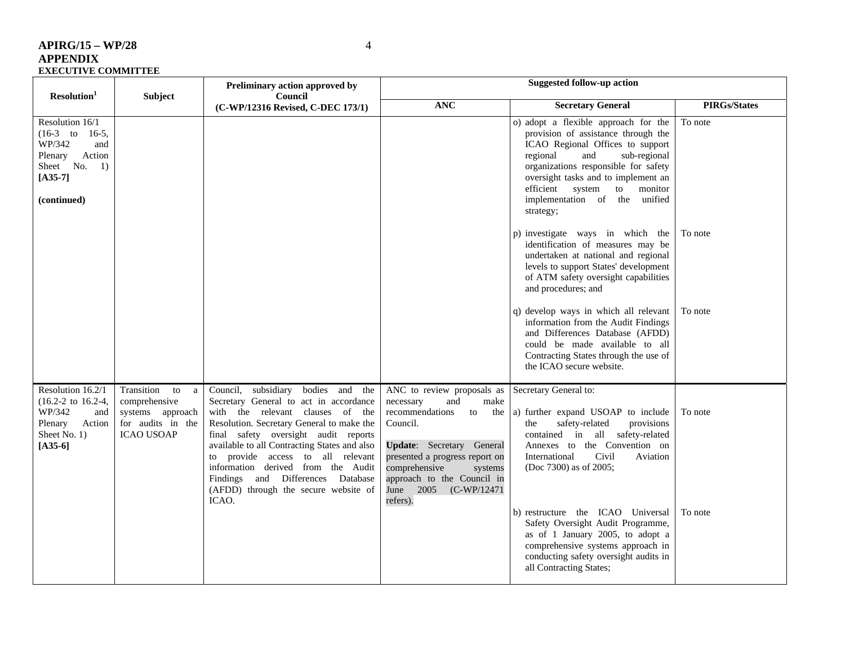| $APIRG/15 - WP/28$         |                |                                                                                |            |
|----------------------------|----------------|--------------------------------------------------------------------------------|------------|
| <b>APPENDIX</b>            |                |                                                                                |            |
| <b>EXECUTIVE COMMITTEE</b> |                |                                                                                |            |
| Resolution <sup>1</sup>    | <b>Subject</b> | Preliminary action approved by<br>Council<br>(C-WP/12316 Revised, C-DEC 173/1) | <b>ANC</b> |

| Resolution <sup>1</sup><br>Subject                                                                                                            |                                                                                                      | Preliminary action approved by<br>Council                                                                                                                                                                                                                                                                                                                                                                              | <b>Suggested follow-up action</b>                                                                                                                                                                                                                                             |                                                                                                                                                                                                                                                                                                                         |                     |  |
|-----------------------------------------------------------------------------------------------------------------------------------------------|------------------------------------------------------------------------------------------------------|------------------------------------------------------------------------------------------------------------------------------------------------------------------------------------------------------------------------------------------------------------------------------------------------------------------------------------------------------------------------------------------------------------------------|-------------------------------------------------------------------------------------------------------------------------------------------------------------------------------------------------------------------------------------------------------------------------------|-------------------------------------------------------------------------------------------------------------------------------------------------------------------------------------------------------------------------------------------------------------------------------------------------------------------------|---------------------|--|
|                                                                                                                                               |                                                                                                      | (C-WP/12316 Revised, C-DEC 173/1)                                                                                                                                                                                                                                                                                                                                                                                      | <b>ANC</b>                                                                                                                                                                                                                                                                    | <b>Secretary General</b>                                                                                                                                                                                                                                                                                                | <b>PIRGs/States</b> |  |
| Resolution 16/1<br>$(16-3)$ to<br>$16-5$ ,<br>WP/342<br>and<br>Action<br>Plenary<br>Sheet No.<br>$\left(1\right)$<br>$[A35-7]$<br>(continued) |                                                                                                      |                                                                                                                                                                                                                                                                                                                                                                                                                        |                                                                                                                                                                                                                                                                               | o) adopt a flexible approach for the<br>provision of assistance through the<br>ICAO Regional Offices to support<br>sub-regional<br>regional<br>and<br>organizations responsible for safety<br>oversight tasks and to implement an<br>efficient<br>system<br>monitor<br>to<br>implementation of the unified<br>strategy; | To note             |  |
|                                                                                                                                               |                                                                                                      |                                                                                                                                                                                                                                                                                                                                                                                                                        |                                                                                                                                                                                                                                                                               | p) investigate ways in which the<br>identification of measures may be<br>undertaken at national and regional<br>levels to support States' development<br>of ATM safety oversight capabilities<br>and procedures; and                                                                                                    | To note             |  |
|                                                                                                                                               |                                                                                                      |                                                                                                                                                                                                                                                                                                                                                                                                                        |                                                                                                                                                                                                                                                                               | q) develop ways in which all relevant<br>information from the Audit Findings<br>and Differences Database (AFDD)<br>could be made available to all<br>Contracting States through the use of<br>the ICAO secure website.                                                                                                  | To note             |  |
| Resolution 16.2/1<br>$(16.2 - 2 \text{ to } 16.2 - 4,$<br>WP/342<br>and<br>Plenary<br>Action<br>Sheet No. 1)<br>$[A35-6]$                     | Transition<br>to<br>a<br>comprehensive<br>systems approach<br>for audits in the<br><b>ICAO USOAP</b> | Council, subsidiary bodies and the<br>Secretary General to act in accordance<br>with the relevant clauses of the<br>Resolution. Secretary General to make the<br>final safety oversight audit reports<br>available to all Contracting States and also<br>to provide access to all relevant<br>information derived from the Audit<br>Findings and Differences Database<br>(AFDD) through the secure website of<br>ICAO. | ANC to review proposals as<br>necessary<br>and<br>make<br>recommendations<br>the<br>to<br>Council.<br><b>Update:</b> Secretary General<br>presented a progress report on<br>comprehensive<br>systems<br>approach to the Council in<br>June 2005<br>$(C-WP/12471)$<br>refers). | Secretary General to:<br>a) further expand USOAP to include<br>safety-related<br>provisions<br>the<br>contained in all safety-related<br>Annexes to the Convention on<br>Civil<br>International<br>Aviation<br>(Doc 7300) as of 2005;                                                                                   | To note             |  |
|                                                                                                                                               |                                                                                                      |                                                                                                                                                                                                                                                                                                                                                                                                                        |                                                                                                                                                                                                                                                                               | b) restructure the ICAO Universal<br>Safety Oversight Audit Programme,<br>as of 1 January 2005, to adopt a<br>comprehensive systems approach in<br>conducting safety oversight audits in<br>all Contracting States;                                                                                                     | To note             |  |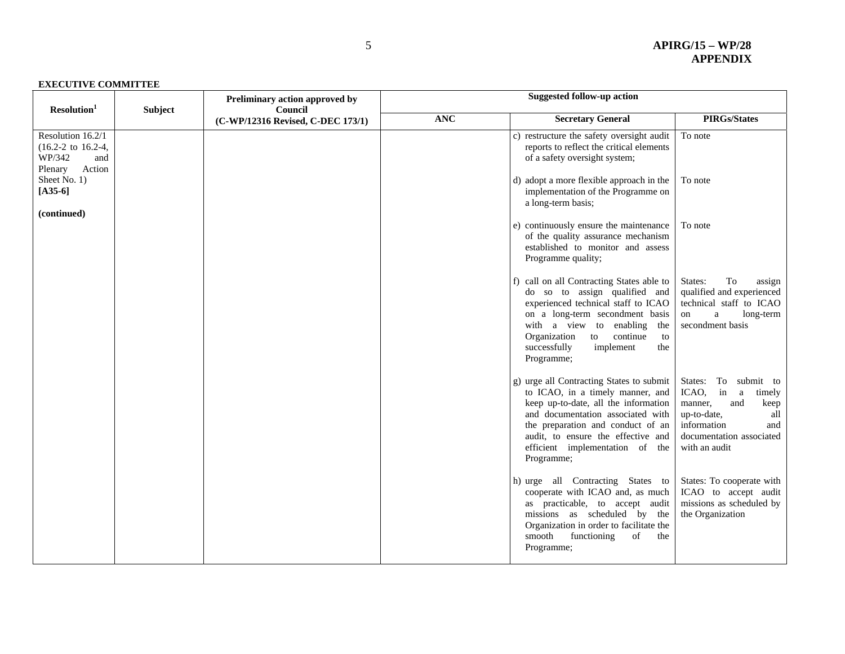| Resolution <sup>1</sup>                                                                      | <b>Subject</b> | Preliminary action approved by<br>Council<br>(C-WP/12316 Revised, C-DEC 173/1) | <b>Suggested follow-up action</b> |                                                                                                                                                                                                                                                                                       |                                                                                                                                                                       |  |
|----------------------------------------------------------------------------------------------|----------------|--------------------------------------------------------------------------------|-----------------------------------|---------------------------------------------------------------------------------------------------------------------------------------------------------------------------------------------------------------------------------------------------------------------------------------|-----------------------------------------------------------------------------------------------------------------------------------------------------------------------|--|
|                                                                                              |                |                                                                                | <b>ANC</b>                        | <b>Secretary General</b>                                                                                                                                                                                                                                                              | <b>PIRGs/States</b>                                                                                                                                                   |  |
| Resolution 16.2/1<br>$(16.2 - 2 \text{ to } 16.2 - 4,$<br>WP/342<br>and<br>Action<br>Plenary |                |                                                                                |                                   | c) restructure the safety oversight audit<br>reports to reflect the critical elements<br>of a safety oversight system;                                                                                                                                                                | To note                                                                                                                                                               |  |
| Sheet No. 1)<br>$[A35-6]$<br>(continued)                                                     |                |                                                                                |                                   | d) adopt a more flexible approach in the<br>implementation of the Programme on<br>a long-term basis;                                                                                                                                                                                  | To note                                                                                                                                                               |  |
|                                                                                              |                |                                                                                |                                   | e) continuously ensure the maintenance<br>of the quality assurance mechanism<br>established to monitor and assess<br>Programme quality;                                                                                                                                               | To note                                                                                                                                                               |  |
|                                                                                              |                |                                                                                |                                   | f) call on all Contracting States able to<br>do so to assign qualified and<br>experienced technical staff to ICAO<br>on a long-term secondment basis<br>with a view to enabling<br>the<br>Organization<br>continue<br>to<br>to<br>successfully<br>implement<br>the<br>Programme;      | States:<br>To<br>assign<br>qualified and experienced<br>technical staff to ICAO<br>$\mathbf{a}$<br>long-term<br>on<br>secondment basis                                |  |
|                                                                                              |                |                                                                                |                                   | g) urge all Contracting States to submit<br>to ICAO, in a timely manner, and<br>keep up-to-date, all the information<br>and documentation associated with<br>the preparation and conduct of an<br>audit, to ensure the effective and<br>efficient implementation of the<br>Programme; | To submit to<br>States:<br>ICAO,<br>in a<br>timely<br>manner,<br>and<br>keep<br>up-to-date,<br>all<br>information<br>and<br>documentation associated<br>with an audit |  |
|                                                                                              |                |                                                                                |                                   | h) urge all Contracting States to<br>cooperate with ICAO and, as much<br>as practicable, to accept audit<br>missions as scheduled by the<br>Organization in order to facilitate the<br>smooth<br>functioning<br>of<br>the<br>Programme;                                               | States: To cooperate with<br>ICAO to accept audit<br>missions as scheduled by<br>the Organization                                                                     |  |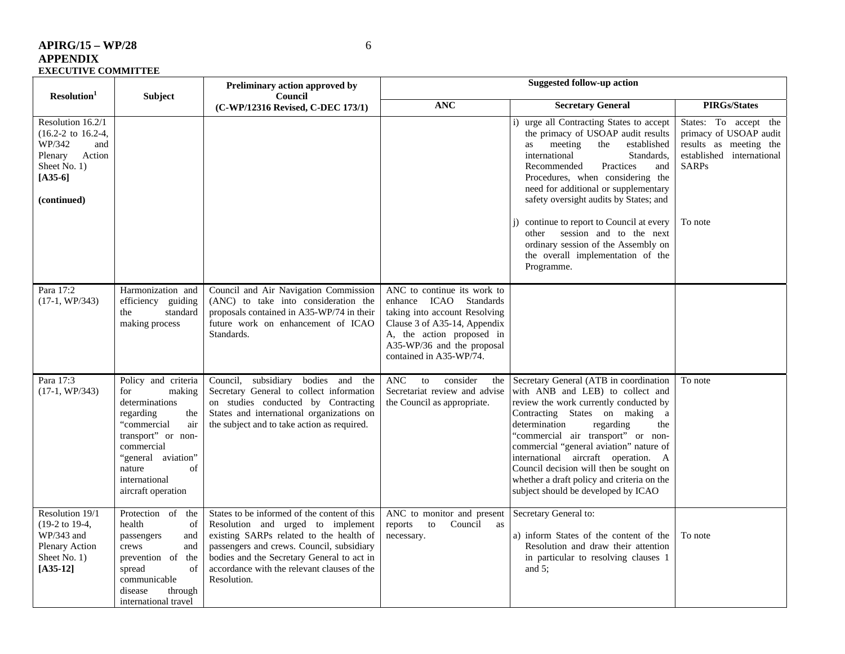| APIRG/15 – WP/28    |  |
|---------------------|--|
| APPENDIX            |  |
| EXECUTIVE COMMITTEE |  |

 $6\,$ 

| Resolution <sup>1</sup>                                                                                                                    | Subject                                                                                                                                                                                                           | Preliminary action approved by<br>Council                                                                                                                                                                                                                                             | <b>Suggested follow-up action</b>                                                                                                                                                                               |                                                                                                                                                                                                                                                                                                                                                                                                                                                                                                     |                                                                                                                                   |
|--------------------------------------------------------------------------------------------------------------------------------------------|-------------------------------------------------------------------------------------------------------------------------------------------------------------------------------------------------------------------|---------------------------------------------------------------------------------------------------------------------------------------------------------------------------------------------------------------------------------------------------------------------------------------|-----------------------------------------------------------------------------------------------------------------------------------------------------------------------------------------------------------------|-----------------------------------------------------------------------------------------------------------------------------------------------------------------------------------------------------------------------------------------------------------------------------------------------------------------------------------------------------------------------------------------------------------------------------------------------------------------------------------------------------|-----------------------------------------------------------------------------------------------------------------------------------|
|                                                                                                                                            |                                                                                                                                                                                                                   | (C-WP/12316 Revised, C-DEC 173/1)                                                                                                                                                                                                                                                     | <b>ANC</b>                                                                                                                                                                                                      | <b>Secretary General</b>                                                                                                                                                                                                                                                                                                                                                                                                                                                                            | <b>PIRGs/States</b>                                                                                                               |
| Resolution $16.2/1$<br>$(16.2 - 2 \text{ to } 16.2 - 4,$<br>WP/342<br>and<br>Plenary<br>Action<br>Sheet No. 1)<br>$[A35-6]$<br>(continued) |                                                                                                                                                                                                                   |                                                                                                                                                                                                                                                                                       |                                                                                                                                                                                                                 | i) urge all Contracting States to accept<br>the primacy of USOAP audit results<br>meeting<br>the<br>established<br>as<br>international<br>Standards.<br>Recommended<br>Practices<br>and<br>Procedures, when considering the<br>need for additional or supplementary<br>safety oversight audits by States; and<br>continue to report to Council at every<br>$\ddot{1}$<br>session and to the next<br>other<br>ordinary session of the Assembly on<br>the overall implementation of the<br>Programme. | States: To accept the<br>primacy of USOAP audit<br>results as meeting the<br>established international<br><b>SARPs</b><br>To note |
| Para 17:2<br>$(17-1, WP/343)$                                                                                                              | Harmonization and<br>efficiency guiding<br>the<br>standard<br>making process                                                                                                                                      | Council and Air Navigation Commission<br>(ANC) to take into consideration the<br>proposals contained in A35-WP/74 in their<br>future work on enhancement of ICAO<br>Standards.                                                                                                        | ANC to continue its work to<br>Standards<br>enhance ICAO<br>taking into account Resolving<br>Clause 3 of A35-14, Appendix<br>A, the action proposed in<br>A35-WP/36 and the proposal<br>contained in A35-WP/74. |                                                                                                                                                                                                                                                                                                                                                                                                                                                                                                     |                                                                                                                                   |
| Para 17:3<br>$(17-1, WP/343)$                                                                                                              | Policy and criteria<br>for<br>making<br>determinations<br>regarding<br>the<br>"commercial<br>air<br>transport" or non-<br>commercial<br>"general aviation"<br>nature<br>of<br>international<br>aircraft operation | subsidiary bodies<br>Council,<br>and the<br>Secretary General to collect information<br>on studies conducted by Contracting<br>States and international organizations on<br>the subject and to take action as required.                                                               | <b>ANC</b><br>consider<br>to<br>the<br>Secretariat review and advise<br>the Council as appropriate.                                                                                                             | Secretary General (ATB in coordination<br>with ANB and LEB) to collect and<br>review the work currently conducted by<br>Contracting States on making a<br>determination<br>regarding<br>the<br>"commercial air transport" or non-<br>commercial "general aviation" nature of<br>international aircraft operation. A<br>Council decision will then be sought on<br>whether a draft policy and criteria on the<br>subject should be developed by ICAO                                                 | To note                                                                                                                           |
| Resolution 19/1<br>$(19-2 \text{ to } 19-4,$<br>$WP/343$ and<br>Plenary Action<br>Sheet No. 1)<br>$[A35-12]$                               | Protection of<br>the<br>health<br>of<br>passengers<br>and<br>crews<br>and<br>prevention of<br>the<br>of<br>spread<br>communicable<br>disease<br>through<br>international travel                                   | States to be informed of the content of this<br>Resolution and urged to implement<br>existing SARPs related to the health of<br>passengers and crews. Council, subsidiary<br>bodies and the Secretary General to act in<br>accordance with the relevant clauses of the<br>Resolution. | ANC to monitor and present<br>reports<br>Council<br>to<br>as<br>necessary.                                                                                                                                      | Secretary General to:<br>a) inform States of the content of the<br>Resolution and draw their attention<br>in particular to resolving clauses 1<br>and $5$ ;                                                                                                                                                                                                                                                                                                                                         | To note                                                                                                                           |